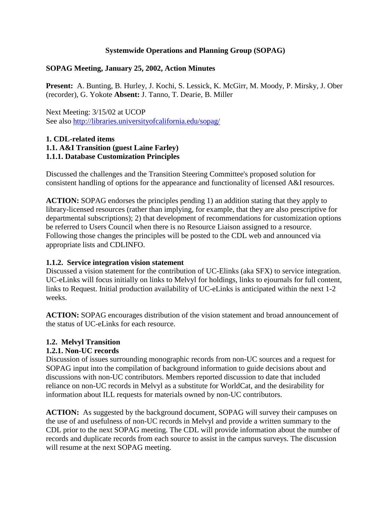#### **Systemwide Operations and Planning Group (SOPAG)**

#### **SOPAG Meeting, January 25, 2002, Action Minutes**

**Present:** A. Bunting, B. Hurley, J. Kochi, S. Lessick, K. McGirr, M. Moody, P. Mirsky, J. Ober (recorder), G. Yokote **Absent:** J. Tanno, T. Dearie, B. Miller

Next Meeting: 3/15/02 at UCOP See also http://libraries.universityofcalifornia.edu/sopag/

#### **1. CDL-related items 1.1. A&I Transition (guest Laine Farley) 1.1.1. Database Customization Principles**

Discussed the challenges and the Transition Steering Committee's proposed solution for consistent handling of options for the appearance and functionality of licensed A&I resources.

**ACTION:** SOPAG endorses the principles pending 1) an addition stating that they apply to library-licensed resources (rather than implying, for example, that they are also prescriptive for departmental subscriptions); 2) that development of recommendations for customization options be referred to Users Council when there is no Resource Liaison assigned to a resource. Following those changes the principles will be posted to the CDL web and announced via appropriate lists and CDLINFO.

#### **1.1.2. Service integration vision statement**

Discussed a vision statement for the contribution of UC-Elinks (aka SFX) to service integration. UC-eLinks will focus initially on links to Melvyl for holdings, links to ejournals for full content, links to Request. Initial production availability of UC-eLinks is anticipated within the next 1-2 weeks.

**ACTION:** SOPAG encourages distribution of the vision statement and broad announcement of the status of UC-eLinks for each resource.

#### **1.2. Melvyl Transition**

#### **1.2.1. Non-UC records**

Discussion of issues surrounding monographic records from non-UC sources and a request for SOPAG input into the compilation of background information to guide decisions about and discussions with non-UC contributors. Members reported discussion to date that included reliance on non-UC records in Melvyl as a substitute for WorldCat, and the desirability for information about ILL requests for materials owned by non-UC contributors.

**ACTION:** As suggested by the background document, SOPAG will survey their campuses on the use of and usefulness of non-UC records in Melvyl and provide a written summary to the CDL prior to the next SOPAG meeting. The CDL will provide information about the number of records and duplicate records from each source to assist in the campus surveys. The discussion will resume at the next SOPAG meeting.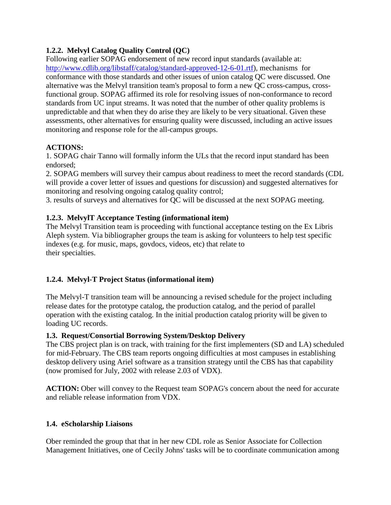## **1.2.2. Melvyl Catalog Quality Control (QC)**

Following earlier SOPAG endorsement of new record input standards (available at: [http://www.cdlib.org/libstaff/catalog/standard-approved-12-6-01.rtf\)](http://www.cdlib.org/libstaff/catalog/standard-approved-12-6-01.rtf), mechanisms for conformance with those standards and other issues of union catalog QC were discussed. One alternative was the Melvyl transition team's proposal to form a new QC cross-campus, crossfunctional group. SOPAG affirmed its role for resolving issues of non-conformance to record standards from UC input streams. It was noted that the number of other quality problems is unpredictable and that when they do arise they are likely to be very situational. Given these assessments, other alternatives for ensuring quality were discussed, including an active issues monitoring and response role for the all-campus groups.

## **ACTIONS:**

1. SOPAG chair Tanno will formally inform the ULs that the record input standard has been endorsed;

2. SOPAG members will survey their campus about readiness to meet the record standards (CDL will provide a cover letter of issues and questions for discussion) and suggested alternatives for monitoring and resolving ongoing catalog quality control;

3. results of surveys and alternatives for QC will be discussed at the next SOPAG meeting.

## **1.2.3. MelvylT Acceptance Testing (informational item)**

The Melvyl Transition team is proceeding with functional acceptance testing on the Ex Libris Aleph system. Via bibliographer groups the team is asking for volunteers to help test specific indexes (e.g. for music, maps, govdocs, videos, etc) that relate to their specialties.

## **1.2.4. Melvyl-T Project Status (informational item)**

The Melvyl-T transition team will be announcing a revised schedule for the project including release dates for the prototype catalog, the production catalog, and the period of parallel operation with the existing catalog. In the initial production catalog priority will be given to loading UC records.

## **1.3. Request/Consortial Borrowing System/Desktop Delivery**

The CBS project plan is on track, with training for the first implementers (SD and LA) scheduled for mid-February. The CBS team reports ongoing difficulties at most campuses in establishing desktop delivery using Ariel software as a transition strategy until the CBS has that capability (now promised for July, 2002 with release 2.03 of VDX).

**ACTION:** Ober will convey to the Request team SOPAG's concern about the need for accurate and reliable release information from VDX.

## **1.4. eScholarship Liaisons**

Ober reminded the group that that in her new CDL role as Senior Associate for Collection Management Initiatives, one of Cecily Johns' tasks will be to coordinate communication among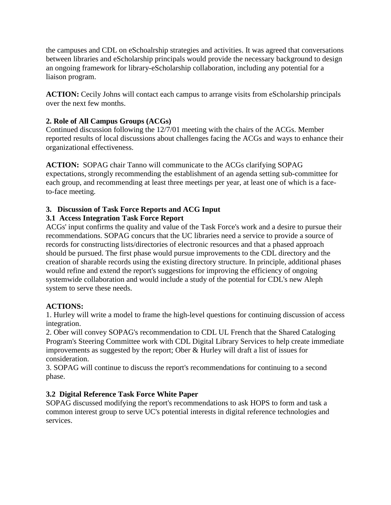the campuses and CDL on eSchoalrship strategies and activities. It was agreed that conversations between libraries and eScholarship principals would provide the necessary background to design an ongoing framework for library-eScholarship collaboration, including any potential for a liaison program.

**ACTION:** Cecily Johns will contact each campus to arrange visits from eScholarship principals over the next few months.

## **2. Role of All Campus Groups (ACGs)**

Continued discussion following the 12/7/01 meeting with the chairs of the ACGs. Member reported results of local discussions about challenges facing the ACGs and ways to enhance their organizational effectiveness.

**ACTION:** SOPAG chair Tanno will communicate to the ACGs clarifying SOPAG expectations, strongly recommending the establishment of an agenda setting sub-committee for each group, and recommending at least three meetings per year, at least one of which is a faceto-face meeting.

## **3. Discussion of Task Force Reports and ACG Input**

## **3.1 Access Integration Task Force Report**

ACGs' input confirms the quality and value of the Task Force's work and a desire to pursue their recommendations. SOPAG concurs that the UC libraries need a service to provide a source of records for constructing lists/directories of electronic resources and that a phased approach should be pursued. The first phase would pursue improvements to the CDL directory and the creation of sharable records using the existing directory structure. In principle, additional phases would refine and extend the report's suggestions for improving the efficiency of ongoing systemwide collaboration and would include a study of the potential for CDL's new Aleph system to serve these needs.

## **ACTIONS:**

1. Hurley will write a model to frame the high-level questions for continuing discussion of access integration.

2. Ober will convey SOPAG's recommendation to CDL UL French that the Shared Cataloging Program's Steering Committee work with CDL Digital Library Services to help create immediate improvements as suggested by the report; Ober & Hurley will draft a list of issues for consideration.

3. SOPAG will continue to discuss the report's recommendations for continuing to a second phase.

# **3.2 Digital Reference Task Force White Paper**

SOPAG discussed modifying the report's recommendations to ask HOPS to form and task a common interest group to serve UC's potential interests in digital reference technologies and services.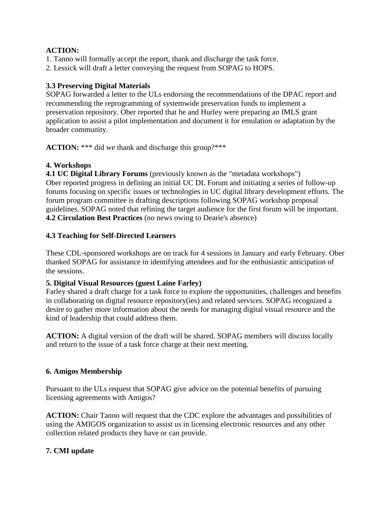#### **ACTION:**

- 1. Tanno will formally accept the report, thank and discharge the task force.
- 2. Lessick will draft a letter conveying the request from SOPAG to HOPS.

#### **3.3 Preserving Digital Materials**

SOPAG forwarded a letter to the ULs endorsing the recommendations of the DPAC report and recommending the reprogramming of systemwide preservation funds to implement a preservation repository. Ober reported that he and Hurley were preparing an IMLS grant application to assist a pilot implementation and document it for emulation or adaptation by the broader community.

ACTION: \*\*\* did we thank and discharge this group?\*\*\*

## **4. Workshops**

**4.1 UC Digital Library Forums** (previously known as the "metadata workshops") Ober reported progress in defining an initial UC DL Forum and initiating a series of follow-up forums focusing on specific issues or technologies in UC digital library development efforts. The forum program committee is drafting descriptions following SOPAG workshop proposal guidelines. SOPAG noted that refining the target audience for the first forum will be important. **4.2 Circulation Best Practices** (no news owing to Dearie's absence)

#### **4.3 Teaching for Self-Directed Learners**

These CDL-sponsored workshops are on track for 4 sessions in January and early February. Ober thanked SOPAG for assistance in identifying attendees and for the enthusiastic anticipation of the sessions.

#### **5. Digital Visual Resources (guest Laine Farley)**

Farley shared a draft charge for a task force to explore the opportunities, challenges and benefits in collaborating on digital resource repository(ies) and related services. SOPAG recognized a desire to gather more information about the needs for managing digital visual resource and the kind of leadership that could address them.

**ACTION:** A digital version of the draft will be shared. SOPAG members will discuss locally and return to the issue of a task force charge at their next meeting.

#### **6. Amigos Membership**

Pursuant to the ULs request that SOPAG give advice on the potential benefits of pursuing licensing agreements with Amigos?

**ACTION:** Chair Tanno will request that the CDC explore the advantages and possibilities of using the AMIGOS organization to assist us in licensing electronic resources and any other collection related products they have or can provide.

## **7. CMI update**